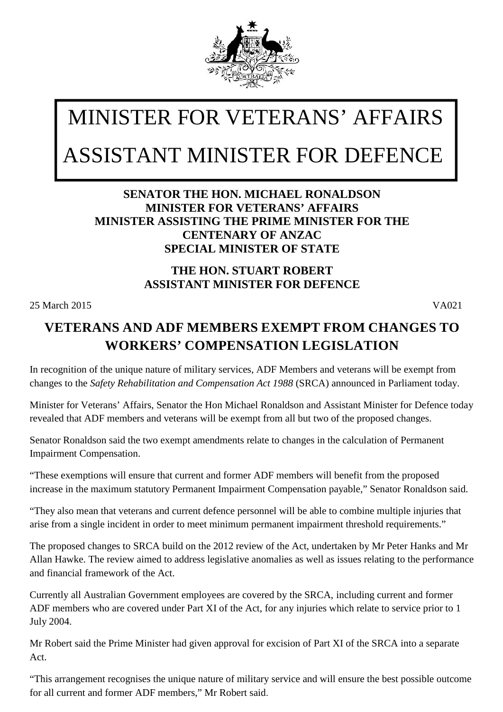

## MINISTER FOR VETERANS' AFFAIRS ASSISTANT MINISTER FOR DEFENCE

## **SENATOR THE HON. MICHAEL RONALDSON MINISTER FOR VETERANS' AFFAIRS MINISTER ASSISTING THE PRIME MINISTER FOR THE CENTENARY OF ANZAC SPECIAL MINISTER OF STATE**

## **THE HON. STUART ROBERT ASSISTANT MINISTER FOR DEFENCE**

25 March 2015 VA021

## **VETERANS AND ADF MEMBERS EXEMPT FROM CHANGES TO WORKERS' COMPENSATION LEGISLATION**

In recognition of the unique nature of military services, ADF Members and veterans will be exempt from changes to the *Safety Rehabilitation and Compensation Act 1988* (SRCA) announced in Parliament today.

Minister for Veterans' Affairs, Senator the Hon Michael Ronaldson and Assistant Minister for Defence today revealed that ADF members and veterans will be exempt from all but two of the proposed changes.

Senator Ronaldson said the two exempt amendments relate to changes in the calculation of Permanent Impairment Compensation.

"These exemptions will ensure that current and former ADF members will benefit from the proposed increase in the maximum statutory Permanent Impairment Compensation payable," Senator Ronaldson said.

"They also mean that veterans and current defence personnel will be able to combine multiple injuries that arise from a single incident in order to meet minimum permanent impairment threshold requirements."

The proposed changes to SRCA build on the 2012 review of the Act, undertaken by Mr Peter Hanks and Mr Allan Hawke. The review aimed to address legislative anomalies as well as issues relating to the performance and financial framework of the Act.

Currently all Australian Government employees are covered by the SRCA, including current and former ADF members who are covered under Part XI of the Act, for any injuries which relate to service prior to 1 July 2004.

Mr Robert said the Prime Minister had given approval for excision of Part XI of the SRCA into a separate Act.

*can be reached 24 hours a day across Australia for crisis support and free and confidential counselling.* "This arrangement recognises the unique nature of military service and will ensure the best possible outcome for all current and former ADF members," Mr Robert said.